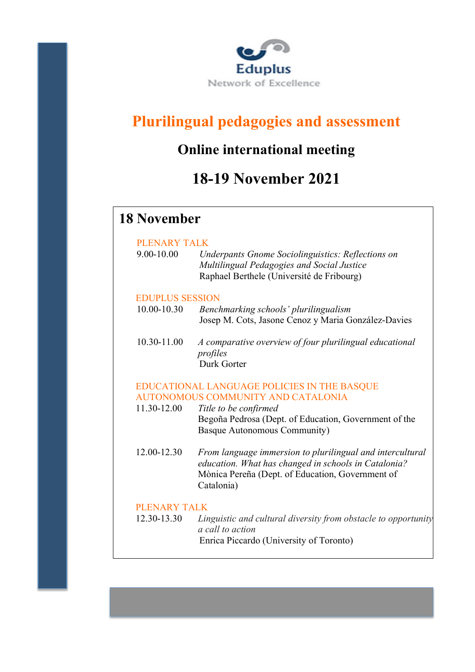

# **Plurilingual pedagogies and assessment**

## **Online international meeting**

## **18-19 November 2021**

### **18 November**

#### PLENARY TALK

| 9.00-10.00 | Underpants Gnome Sociolinguistics: Reflections on |
|------------|---------------------------------------------------|
|            | Multilingual Pedagogies and Social Justice        |
|            | Raphael Berthele (Université de Fribourg)         |

#### EDUPLUS SESSION

| 10.00-10.30 | Benchmarking schools' plurilingualism               |
|-------------|-----------------------------------------------------|
|             | Josep M. Cots, Jasone Cenoz y Maria González-Davies |

10.30-11.00 *A comparative overview of four plurilingual educational profiles* Durk Gorter

#### EDUCATIONAL LANGUAGE POLICIES IN THE BASQUE AUTONOMOUS COMMUNITY AND CATALONIA

- 11.30-12.00 *Title to be confirmed* Begoña Pedrosa (Dept. of Education, Government of the Basque Autonomous Community)
- 12.00-12.30 *From language immersion to plurilingual and intercultural education. What has changed in schools in Catalonia?* Mònica Pereña (Dept. of Education, Government of Catalonia)

#### PLENARY TALK

12.30-13.30 *Linguistic and cultural diversity from obstacle to opportunity: a call to action* Enrica Piccardo (University of Toronto)